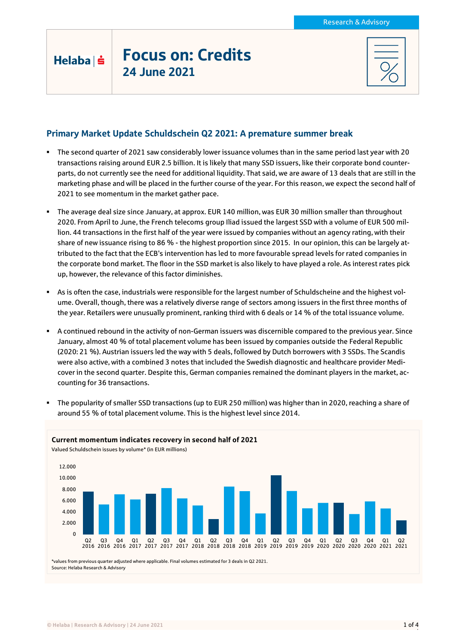## Focus on: Credits 24 June 2021

Helaba | s

## Primary Market Update Schuldschein Q2 2021: A premature summer break

- The second quarter of 2021 saw considerably lower issuance volumes than in the same period last year with 20 transactions raising around EUR 2.5 billion. It is likely that many SSD issuers, like their corporate bond counterparts, do not currently see the need for additional liquidity. That said, we are aware of 13 deals that are still in the marketing phase and will be placed in the further course of the year. For this reason, we expect the second half of 2021 to see momentum in the market gather pace.
- The average deal size since January, at approx. EUR 140 million, was EUR 30 million smaller than throughout 2020. From April to June, the French telecoms group Iliad issued the largest SSD with a volume of EUR 500 million. 44 transactions in the first half of the year were issued by companies without an agency rating, with their share of new issuance rising to 86 % - the highest proportion since 2015. In our opinion, this can be largely attributed to the fact that the ECB's intervention has led to more favourable spread levels for rated companies in the corporate bond market. The floor in the SSD market is also likely to have played a role. As interest rates pick up, however, the relevance of this factor diminishes.
- As is often the case, industrials were responsible for the largest number of Schuldscheine and the highest volume. Overall, though, there was a relatively diverse range of sectors among issuers in the first three months of the year. Retailers were unusually prominent, ranking third with 6 deals or 14 % of the total issuance volume.
- A continued rebound in the activity of non-German issuers was discernible compared to the previous year. Since January, almost 40 % of total placement volume has been issued by companies outside the Federal Republic (2020: 21 %). Austrian issuers led the way with 5 deals, followed by Dutch borrowers with 3 SSDs. The Scandis were also active, with a combined 3 notes that included the Swedish diagnostic and healthcare provider Medicover in the second quarter. Despite this, German companies remained the dominant players in the market, accounting for 36 transactions.
- The popularity of smaller SSD transactions (up to EUR 250 million) was higher than in 2020, reaching a share of around 55 % of total placement volume. This is the highest level since 2014.

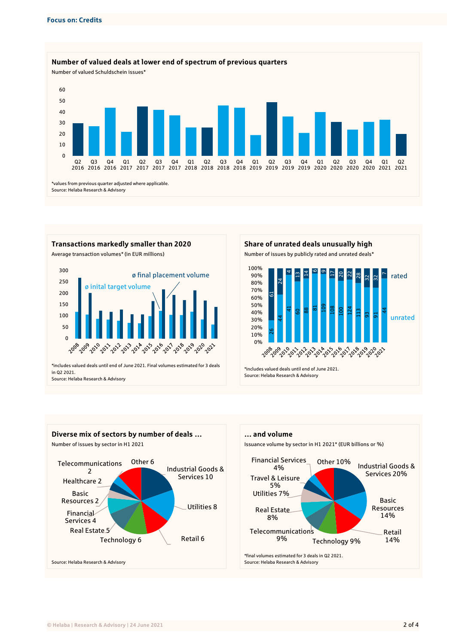



Source: Helaba Research & Advisory





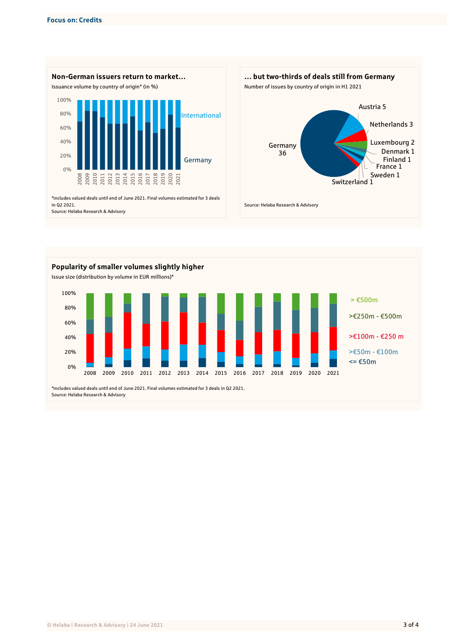





Source: Helaba Research & Advisory